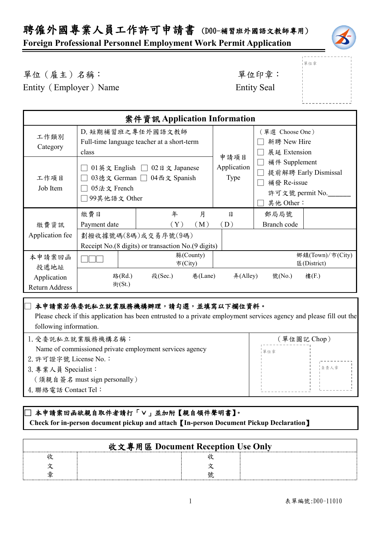**Foreign Professional Personnel Employment Work Permit Application**



單位章

單位(雇主)名稱: 第四章: 李位印章: 第一

Entity (Employer) Name Entity Seal

|                                      |                                                                           | 案件資訊 Application Information |           |                                |                                       |                                 |  |
|--------------------------------------|---------------------------------------------------------------------------|------------------------------|-----------|--------------------------------|---------------------------------------|---------------------------------|--|
| 工作類別                                 | D. 短期補習班之專任外國語文教師                                                         |                              |           |                                | (單選 Choose One)<br>新聘 New Hire        |                                 |  |
| Category                             | Full-time language teacher at a short-term<br>class                       |                              | 申請項目      | 展延 Extension                   |                                       |                                 |  |
| 工作項目                                 | 01英文 English □<br>$02$ 日文 Japanese<br>03德文 German □ 04西文 Spanish          |                              |           | Application<br>Type            | 補件 Supplement<br>提前解聘 Early Dismissal |                                 |  |
| Job Item                             | 05法文 French<br>99其他語文 Other                                               |                              |           | 補發 Re-issue<br>許可文號 permit No. |                                       |                                 |  |
| 繳費資訊                                 | 繳費日<br>Payment date                                                       | 年<br>(Y)                     | 月<br>(M)  | 日<br>(D)                       | 其他 Other:<br>郵局局號<br>Branch code      |                                 |  |
| Application fee                      | 劃撥收據號碼(8碼)或交易序號(9碼)<br>Receipt No.(8 digits) or transaction No.(9 digits) |                              |           |                                |                                       |                                 |  |
| 本申請案回函<br>投遞地址                       |                                                                           | 市(City)                      | 縣(County) |                                |                                       | 鄉鎮(Town)/市(City)<br>區(District) |  |
| Application<br><b>Return Address</b> | 路(Rd.)<br>街 $(St.)$                                                       | 段(Sec.)                      | 巷(Lane)   | #(Alley)                       | 號(No.)                                | 樓(F.)                           |  |

#### 本申請案若係委託私立就業服務機構辦理,請勾選,並填寫以下欄位資料。

 Please check if this application has been entrusted to a private employment services agency and please fill out the following information.

| 1. 受委託私立就業服務機構名稱:                                       | (單位圖記 Chop) |
|---------------------------------------------------------|-------------|
| Name of commissioned private employment services agency | 單位章         |
| 2. 許可證字號 License No.:                                   |             |
| 3. 專業人員 Specialist:                                     | 自青人章        |
| (須親自簽名 must sign personally)                            |             |
| 4. 聯絡電話 Contact Tel:                                    |             |
|                                                         |             |

#### ]本申請案回函欲親自取件者請打「∨」並加附【親自領件聲明書】。  **Check for in-person document pickup and attach**【**In-person Document Pickup Declaration**】

| 收文專用區 Document Reception Use Only |  |  |  |  |  |
|-----------------------------------|--|--|--|--|--|
|                                   |  |  |  |  |  |
|                                   |  |  |  |  |  |
|                                   |  |  |  |  |  |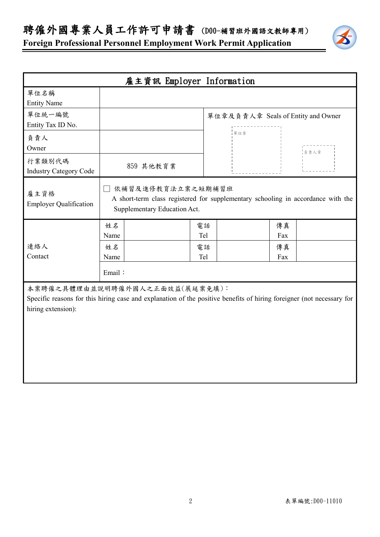聘僱外國專業人員工作許可申請書 (D00-補習班外國語文教師專用)



|                                         | 雇主資訊 Employer Information                                                                                                                               |           |                                                                                  |
|-----------------------------------------|---------------------------------------------------------------------------------------------------------------------------------------------------------|-----------|----------------------------------------------------------------------------------|
| 單位名稱<br><b>Entity Name</b>              |                                                                                                                                                         |           |                                                                                  |
| 單位統一編號<br>Entity Tax ID No.             |                                                                                                                                                         |           | 單位章及負責人章 Seals of Entity and Owner                                               |
| 負責人<br>Owner                            |                                                                                                                                                         | 單位章       | 負責人章                                                                             |
| 行業類別代碼<br><b>Industry Category Code</b> | 859 其他教育業                                                                                                                                               |           |                                                                                  |
| 雇主資格<br><b>Employer Qualification</b>   | 依補習及進修教育法立案之短期補習班<br>Supplementary Education Act.                                                                                                       |           | A short-term class registered for supplementary schooling in accordance with the |
|                                         | 姓名<br>Name                                                                                                                                              | 電話<br>Tel | 傳真<br>Fax                                                                        |
| 連絡人<br>Contact                          | 姓名<br>Name                                                                                                                                              | 電話<br>Tel | 傳真<br>Fax                                                                        |
|                                         | Email:                                                                                                                                                  |           |                                                                                  |
| hiring extension):                      | 本案聘僱之具體理由並說明聘僱外國人之正面效益(展延案免填):<br>Specific reasons for this hiring case and explanation of the positive benefits of hiring foreigner (not necessary for |           |                                                                                  |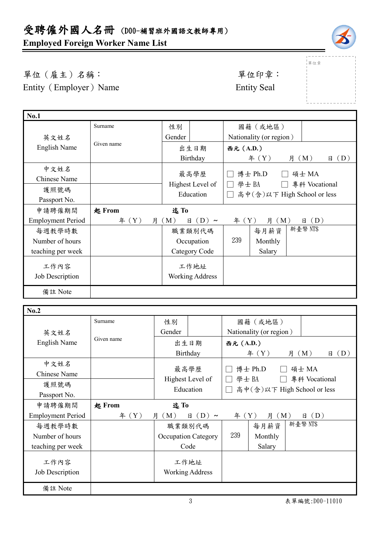# 受聘僱外國人名冊 (D00-補習班外國語文教師專用)

## **Employed Foreign Worker Name List**



|單位章

單位(雇主)名稱: 第四章: 李位印章: 第一 Entity (Employer) Name Entity Seal

| <b>No.1</b>              |            |          |                        |                |                             |          |               |
|--------------------------|------------|----------|------------------------|----------------|-----------------------------|----------|---------------|
|                          | Surname    | 性別       |                        |                | 國籍(或地區)                     |          |               |
| 英文姓名                     |            | Gender   |                        |                | Nationality (or region)     |          |               |
| English Name             | Given name |          | 出生日期                   | 西元 (A.D.)      |                             |          |               |
|                          | Birthday   |          |                        | f(X)           | 月 (M)                       | (D)<br>日 |               |
| 中文姓名                     |            |          | 最高學歷                   |                | 博士 Ph.D                     |          |               |
| Chinese Name             |            |          |                        |                |                             |          | 碩士 MA         |
| 護照號碼                     |            |          | Highest Level of       | 學士BA<br>$\Box$ |                             |          | 專科 Vocational |
| Passport No.             |            |          | Education              | $\perp$        | 高中(含)以下 High School or less |          |               |
| 申請聘僱期間                   | 起 From     | 迄To      |                        |                |                             |          |               |
| <b>Employment Period</b> | # (Y)<br>月 | (M)<br>日 | $(D) \sim$             | 年 $(Y)$        | 月 (M)                       |          | (D)<br>日      |
| 每週教學時數                   |            |          | 職業類別代碼                 |                | 每月薪資                        |          | 新臺幣 NT\$      |
| Number of hours          |            |          | Occupation             | 239            | Monthly                     |          |               |
| teaching per week        |            |          | Category Code          |                | Salary                      |          |               |
| 工作內容                     |            |          | 工作地址                   |                |                             |          |               |
| Job Description          |            |          | <b>Working Address</b> |                |                             |          |               |
| 備註 Note                  |            |          |                        |                |                             |          |               |
|                          |            |          |                        |                |                             |          |               |

| No.2                     |            |                            |                            |                                                      |                         |          |          |
|--------------------------|------------|----------------------------|----------------------------|------------------------------------------------------|-------------------------|----------|----------|
|                          | Surname    | 性別                         |                            |                                                      | 國籍(或地區)                 |          |          |
| 英文姓名                     |            | Gender                     |                            |                                                      | Nationality (or region) |          |          |
| <b>English Name</b>      | Given name | 出生日期<br>Birthday           |                            | 西元 (A.D.)                                            |                         |          |          |
|                          |            |                            |                            |                                                      | 年 $(Y)$                 | 月 (M)    | (D)<br>日 |
| 中文姓名                     |            |                            |                            |                                                      |                         |          |          |
| Chinese Name             |            | 最高學歷                       |                            |                                                      | 博士 Ph.D                 | 碩士 MA    |          |
| 護照號碼                     |            | Highest Level of           |                            | 學士BA<br>專科 Vocational<br>高中(含)以下 High School or less |                         |          |          |
| Passport No.             |            | Education                  |                            |                                                      |                         |          |          |
| 申請聘僱期間                   |            |                            |                            |                                                      |                         |          |          |
|                          | 起 From     | 迄To                        |                            |                                                      |                         |          |          |
| <b>Employment Period</b> | 年 $(Y)$    | 月 (M)                      | $(D) \sim$<br>$\mathsf{H}$ | # (Y)                                                | 月 (M)                   | (D)<br>日 |          |
| 每週教學時數                   |            | 職業類別代碼                     |                            |                                                      | 每月薪資                    | 新臺幣 NT\$ |          |
| Number of hours          |            | <b>Occupation Category</b> |                            | 239                                                  | Monthly                 |          |          |
| teaching per week        |            | Code                       |                            |                                                      | Salary                  |          |          |
|                          |            |                            |                            |                                                      |                         |          |          |
| 工作內容                     |            | 工作地址                       |                            |                                                      |                         |          |          |
| Job Description          |            |                            | <b>Working Address</b>     |                                                      |                         |          |          |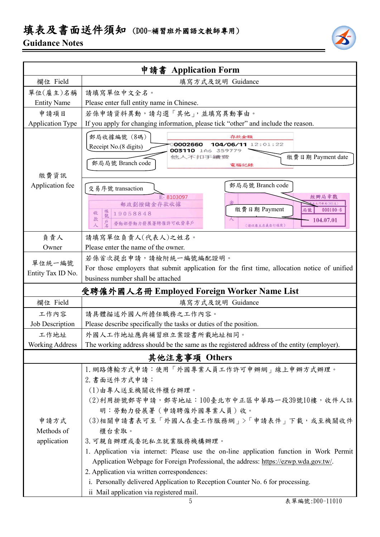## 填表及書面送件須知 (D00-補習班外國語文教師專用)

### **Guidance Notes**



|                                            | 申請書 Application Form                                                                                                                                                                                                                                                                                                         |  |  |  |  |  |
|--------------------------------------------|------------------------------------------------------------------------------------------------------------------------------------------------------------------------------------------------------------------------------------------------------------------------------------------------------------------------------|--|--|--|--|--|
| 欄位 Field                                   | 填寫方式及說明 Guidance                                                                                                                                                                                                                                                                                                             |  |  |  |  |  |
| 單位(雇主)名稱                                   | 請填寫單位中文全名。                                                                                                                                                                                                                                                                                                                   |  |  |  |  |  |
| <b>Entity Name</b>                         | Please enter full entity name in Chinese.                                                                                                                                                                                                                                                                                    |  |  |  |  |  |
| 申請項目                                       | 若係申請資料異動,請勾選「其他」,並填寫異動事由。                                                                                                                                                                                                                                                                                                    |  |  |  |  |  |
| <b>Application Type</b>                    | If you apply for changing information, please tick "other" and include the reason.                                                                                                                                                                                                                                           |  |  |  |  |  |
| 繳費資訊                                       | 郵局收據編號 (8碼)<br>存款金額<br>104/06/11 12:01:22<br>0002660<br>Receipt No.(8 digits)<br>003110 1A6 359779<br>他人不扣手續發<br>繳費日期 Payment date<br>郵局局號 Branch code<br>電腦記錄                                                                                                                                                               |  |  |  |  |  |
| Application fee                            | 郵局局號 Branch code                                                                                                                                                                                                                                                                                                             |  |  |  |  |  |
|                                            | 交易序號 transaction<br>E-8103097<br>經辦局章戳<br>郵政劃撥儲金存款收據<br><b>比門郵局(901支)</b><br>繳費日期 Payment<br>$000100 - 6$<br>局號<br>帳號<br>19058848<br>收<br>款<br>104.07.01<br>勞動部勞動力發展署聘僱許可收費專戶<br>(請以雇主名義自行填寫)                                                                                                                                |  |  |  |  |  |
|                                            |                                                                                                                                                                                                                                                                                                                              |  |  |  |  |  |
| 負責人<br>Owner                               | 請填寫單位負責人(代表人)之姓名。<br>Please enter the name of the owner.                                                                                                                                                                                                                                                                     |  |  |  |  |  |
|                                            |                                                                                                                                                                                                                                                                                                                              |  |  |  |  |  |
| 單位統一編號<br>Entity Tax ID No.                | 若係首次提出申請,請檢附統一編號編配證明。<br>For those employers that submit application for the first time, allocation notice of unified<br>business number shall be attached                                                                                                                                                                   |  |  |  |  |  |
| 受聘僱外國人名冊 Employed Foreign Worker Name List |                                                                                                                                                                                                                                                                                                                              |  |  |  |  |  |
| 欄位 Field                                   | 填寫方式及說明 Guidance                                                                                                                                                                                                                                                                                                             |  |  |  |  |  |
| 工作內容                                       | 請具體描述外國人所擔任職務之工作內容。                                                                                                                                                                                                                                                                                                          |  |  |  |  |  |
| Job Description                            | Please describe specifically the tasks or duties of the position.                                                                                                                                                                                                                                                            |  |  |  |  |  |
| 工作地址                                       | 外國人工作地址應與補習班立案證書所載地址相同。                                                                                                                                                                                                                                                                                                      |  |  |  |  |  |
| <b>Working Address</b>                     | The working address should be the same as the registered address of the entity (employer).                                                                                                                                                                                                                                   |  |  |  |  |  |
| 其他注意事項 Others                              |                                                                                                                                                                                                                                                                                                                              |  |  |  |  |  |
| 申請方式<br>Methods of<br>application          | 1. 網路傳輸方式申請:使用「外國專業人員工作許可申辦網」線上申辦方式辦理。<br>2. 書面送件方式申請:<br>(1)由專人送至機關收件櫃台辦理。<br>(2)利用掛號郵寄申請,郵寄地址:100臺北市中正區中華路一段39號10樓,收件人註<br>明:勞動力發展署(申請聘僱外國專業人員)收。<br>(3)相關申請書表可至「外國人在臺工作服務網」>「申請表件」下載,或至機關收件<br>櫃台索取。<br>3. 可親自辦理或委託私立就業服務機構辦理。<br>1. Application via internet: Please use the on-line application function in Work Permit |  |  |  |  |  |
|                                            | Application Webpage for Foreign Professional, the address: https://ezwp.wda.gov.tw/.<br>2. Application via written correspondences:<br>i. Personally delivered Application to Reception Counter No. 6 for processing.<br>ii Mail application via registered mail.                                                            |  |  |  |  |  |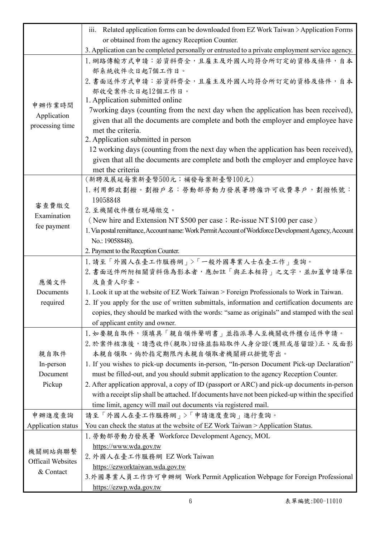|                          | iii. Related application forms can be downloaded from EZ Work Taiwan > Application Forms               |
|--------------------------|--------------------------------------------------------------------------------------------------------|
|                          | or obtained from the agency Reception Counter.                                                         |
|                          | 3. Application can be completed personally or entrusted to a private employment service agency.        |
|                          | 1. 網路傳輸方式申請:若資料齊全,且雇主及外國人均符合所訂定的資格及條件,自本                                                               |
|                          | 部系統收件次日起7個工作日。                                                                                         |
|                          | 2. 書面送件方式申請:若資料齊全,且雇主及外國人均符合所訂定的資格及條件,自本                                                               |
|                          | 部收受案件次日起12個工作日。                                                                                        |
| 申辦作業時間                   | 1. Application submitted online                                                                        |
| Application              | 7 working days (counting from the next day when the application has been received),                    |
| processing time          | given that all the documents are complete and both the employer and employee have<br>met the criteria. |
|                          | 2. Application submitted in person                                                                     |
|                          | 12 working days (counting from the next day when the application has been received),                   |
|                          | given that all the documents are complete and both the employer and employee have                      |
|                          | met the criteria                                                                                       |
|                          | (新聘及展延每案新臺幣500元;補發每案新臺幣100元)                                                                           |
|                          | 1. 利用郵政劃撥。劃撥戶名:勞動部勞動力發展署聘僱許可收費專戶,劃撥帳號:                                                                 |
| 審查費繳交                    | 19058848                                                                                               |
| Examination              | 2. 至機關收件櫃台現場繳交。                                                                                        |
| fee payment              | (New hire and Extension NT \$500 per case; Re-issue NT \$100 per case)                                 |
|                          | 1. Via postal remittance, Account name: Work Permit Account of Workforce Development Agency, Account   |
|                          | No.: 19058848).                                                                                        |
|                          | 2. Payment to the Reception Counter.                                                                   |
|                          |                                                                                                        |
|                          | 1. 請至「外國人在臺工作服務網」>「一般外國專業人士在臺工作」查詢。                                                                    |
|                          | 2. 書面送件所附相關資料係為影本者,應加註「與正本相符」之文字,並加蓋申請單位                                                               |
| 應備文件                     | 及負責人印章。                                                                                                |
| Documents                | 1. Look it up at the website of EZ Work Taiwan > Foreign Professionals to Work in Taiwan.              |
| required                 | 2. If you apply for the use of written submittals, information and certification documents are         |
|                          | copies, they should be marked with the words: "same as originals" and stamped with the seal            |
|                          | of applicant entity and owner.                                                                         |
|                          | 1. 如要親自取件,須填具「親自領件聲明書」並指派專人至機關收件櫃台送件申請。<br>2. 於案件核准後,請憑收件(親取)回條並黏貼取件人身分證(護照或居留證)正、反面影                  |
| 親自取件                     | 本親自領取,倘於指定期限內未親自領取者機關將以掛號寄出。                                                                           |
| In-person                | 1. If you wishes to pick-up documents in-person, "In-person Document Pick-up Declaration"              |
| Document                 | must be filled-out, and you should submit application to the agency Reception Counter.                 |
| Pickup                   | 2. After application approval, a copy of ID (passport or ARC) and pick-up documents in-person          |
|                          | with a receipt slip shall be attached. If documents have not been picked-up within the specified       |
|                          | time limit, agency will mail out documents via registered mail.                                        |
| 申辦進度查詢                   | 請至「外國人在臺工作服務網」>「申請進度查詢」進行查詢。                                                                           |
| Application status       | You can check the status at the website of EZ Work Taiwan > Application Status.                        |
|                          | 1. 勞動部勞動力發展署 Workforce Development Agency, MOL                                                         |
| 機關網站與聯繫                  | https://www.wda.gov.tw                                                                                 |
| <b>Officail Websites</b> | 2. 外國人在臺工作服務網 EZ Work Taiwan                                                                           |
| & Contact                | https://ezworktaiwan.wda.gov.tw                                                                        |
|                          | 3. 外國專業人員工作許可申辦網 Work Permit Application Webpage for Foreign Professional<br>https://ezwp.wda.gov.tw   |